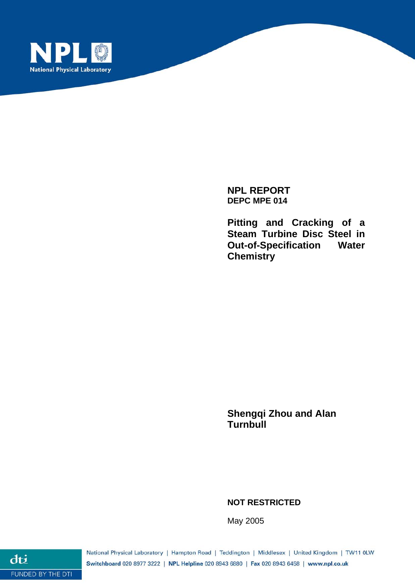

**NPL REPORT DEPC MPE 014** 

**Pitting and Cracking of a Steam Turbine Disc Steel in Out-of-Specification Water Chemistry** 

**Shengqi Zhou and Alan Turnbull** 

**NOT RESTRICTED** 

May 2005

National Physical Laboratory | Hampton Road | Teddington | Middlesex | United Kingdom | TW11 0LW Switchboard 020 8977 3222 | NPL Helpline 020 8943 6880 | Fax 020 8943 6458 | www.npl.co.uk

dti FUNDED BY THE DTI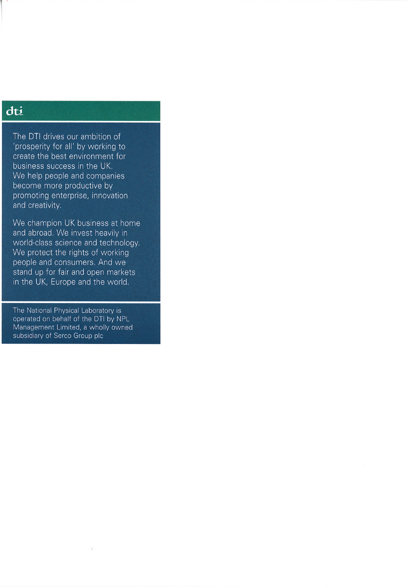# dti

The DTI drives our ambition of 'prosperity for all' by working to create the best environment for business success in the UK. We help people and companies become more productive by promoting enterprise, innovation and creativity.

We champion UK business at home and abroad. We invest heavily in world-class science and technology. We protect the rights of working people and consumers. And we stand up for fair and open markets in the UK, Europe and the world.

The National Physical Laboratory is operated on behalf of the DTI by NPL Management Limited, a wholly owned subsidiary of Serco Group plc

 $\bar{\bar{z}}$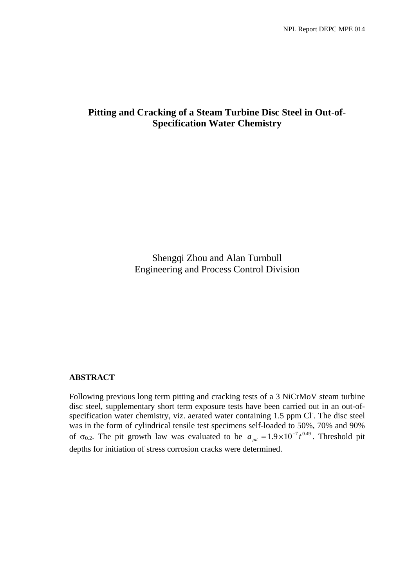# **Pitting and Cracking of a Steam Turbine Disc Steel in Out-of-Specification Water Chemistry**

Shengqi Zhou and Alan Turnbull Engineering and Process Control Division

# **ABSTRACT**

Following previous long term pitting and cracking tests of a 3 NiCrMoV steam turbine disc steel, supplementary short term exposure tests have been carried out in an out-ofspecification water chemistry, viz. aerated water containing 1.5 ppm Cl. The disc steel was in the form of cylindrical tensile test specimens self-loaded to 50%, 70% and 90% of  $\sigma_{0.2}$ . The pit growth law was evaluated to be  $a_{pi} = 1.9 \times 10^{-7} t^{0.49}$ . Threshold pit depths for initiation of stress corrosion cracks were determined.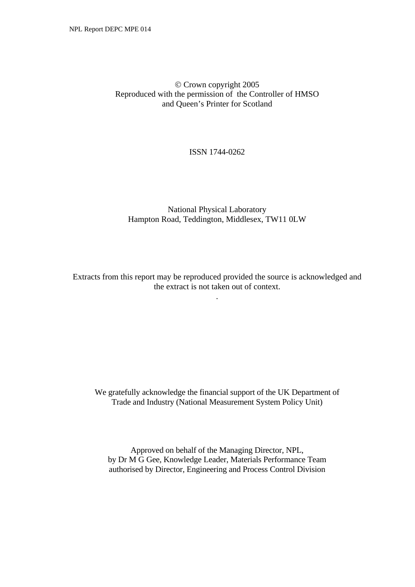# © Crown copyright 2005 Reproduced with the permission of the Controller of HMSO and Queen's Printer for Scotland

## ISSN 1744-0262

# National Physical Laboratory Hampton Road, Teddington, Middlesex, TW11 0LW

Extracts from this report may be reproduced provided the source is acknowledged and the extract is not taken out of context.

.

We gratefully acknowledge the financial support of the UK Department of Trade and Industry (National Measurement System Policy Unit)

Approved on behalf of the Managing Director, NPL, by Dr M G Gee, Knowledge Leader, Materials Performance Team authorised by Director, Engineering and Process Control Division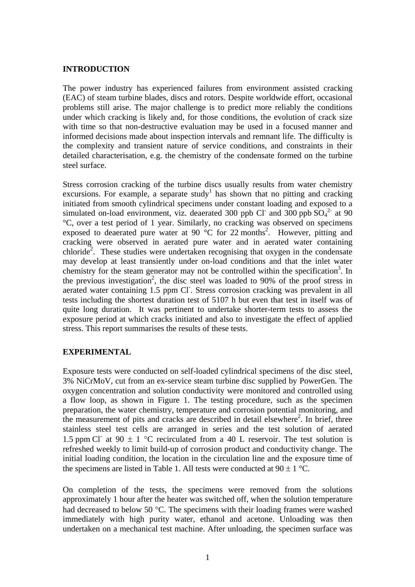## **INTRODUCTION**

The power industry has experienced failures from environment assisted cracking (EAC) of steam turbine blades, discs and rotors. Despite worldwide effort, occasional problems still arise. The major challenge is to predict more reliably the conditions under which cracking is likely and, for those conditions, the evolution of crack size with time so that non-destructive evaluation may be used in a focused manner and informed decisions made about inspection intervals and remnant life. The difficulty is the complexity and transient nature of service conditions, and constraints in their detailed characterisation, e.g. the chemistry of the condensate formed on the turbine steel surface.

Stress corrosion cracking of the turbine discs usually results from water chemistry excursions. For example, a separate study<sup>1</sup> has shown that no pitting and cracking initiated from smooth cylindrical specimens under constant loading and exposed to a simulated on-load environment, viz. deaerated 300 ppb Cl<sup>-</sup> and 300 ppb  $SO_4^2$ <sup>-</sup> at 90 °C, over a test period of 1 year. Similarly, no cracking was observed on specimens exposed to deaerated pure water at 90  $^{\circ}$ C for 22 months<sup>2</sup>. However, pitting and cracking were observed in aerated pure water and in aerated water containing chloride<sup>2</sup>. These studies were undertaken recognising that oxygen in the condensate may develop at least transiently under on-load conditions and that the inlet water chemistry for the steam generator may not be controlled within the specification<sup>3</sup>. In the previous investigation<sup>2</sup>, the disc steel was loaded to 90% of the proof stress in aerated water containing 1.5 ppm Cl. Stress corrosion cracking was prevalent in all tests including the shortest duration test of 5107 h but even that test in itself was of quite long duration. It was pertinent to undertake shorter-term tests to assess the exposure period at which cracks initiated and also to investigate the effect of applied stress. This report summarises the results of these tests.

## **EXPERIMENTAL**

Exposure tests were conducted on self-loaded cylindrical specimens of the disc steel, 3% NiCrMoV, cut from an ex-service steam turbine disc supplied by PowerGen. The oxygen concentration and solution conductivity were monitored and controlled using a flow loop, as shown in Figure 1. The testing procedure, such as the specimen preparation, the water chemistry, temperature and corrosion potential monitoring, and the measurement of pits and cracks are described in detail elsewhere<sup>2</sup>. In brief, three stainless steel test cells are arranged in series and the test solution of aerated 1.5 ppm Cl<sup>-</sup> at 90  $\pm$  1 °C recirculated from a 40 L reservoir. The test solution is refreshed weekly to limit build-up of corrosion product and conductivity change. The initial loading condition, the location in the circulation line and the exposure time of the specimens are listed in Table 1. All tests were conducted at  $90 \pm 1$  °C.

On completion of the tests, the specimens were removed from the solutions approximately 1 hour after the heater was switched off, when the solution temperature had decreased to below 50 °C. The specimens with their loading frames were washed immediately with high purity water, ethanol and acetone. Unloading was then undertaken on a mechanical test machine. After unloading, the specimen surface was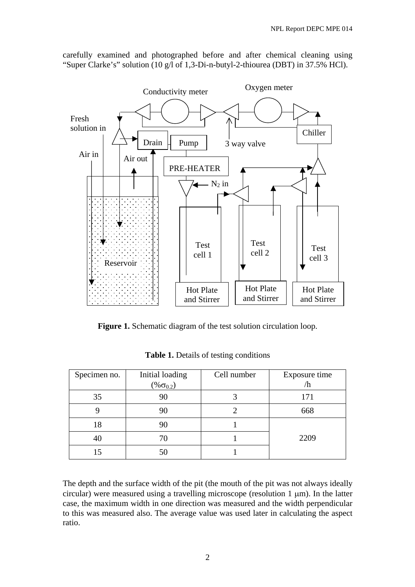

carefully examined and photographed before and after chemical cleaning using "Super Clarke's" solution (10 g/l of 1,3-Di-n-butyl-2-thiourea (DBT) in 37.5% HCl).

Figure 1. Schematic diagram of the test solution circulation loop.

| Specimen no. | Initial loading     | Cell number | Exposure time |  |
|--------------|---------------------|-------------|---------------|--|
|              | $(\% \sigma_{0.2})$ |             | /h            |  |
| 35           | 90                  |             | 171           |  |
|              | 90                  |             | 668           |  |
| 18           | 90                  |             |               |  |
| 40           | 70                  |             | 2209          |  |
|              |                     |             |               |  |

**Table 1.** Details of testing conditions

The depth and the surface width of the pit (the mouth of the pit was not always ideally circular) were measured using a travelling microscope (resolution 1 μm). In the latter case, the maximum width in one direction was measured and the width perpendicular to this was measured also. The average value was used later in calculating the aspect ratio.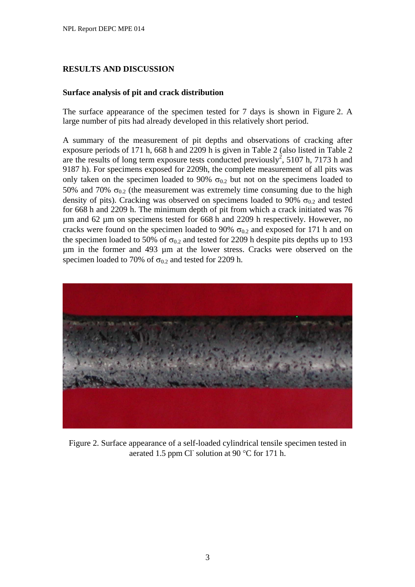# **RESULTS AND DISCUSSION**

## **Surface analysis of pit and crack distribution**

The surface appearance of the specimen tested for 7 days is shown in Figure 2. A large number of pits had already developed in this relatively short period.

A summary of the measurement of pit depths and observations of cracking after exposure periods of 171 h, 668 h and 2209 h is given in Table 2 (also listed in Table 2 are the results of long term exposure tests conducted previously<sup>2</sup>, 5107 h, 7173 h and 9187 h). For specimens exposed for 2209h, the complete measurement of all pits was only taken on the specimen loaded to 90%  $\sigma_{0.2}$  but not on the specimens loaded to 50% and 70%  $\sigma_{0.2}$  (the measurement was extremely time consuming due to the high density of pits). Cracking was observed on specimens loaded to 90%  $\sigma_{0.2}$  and tested for 668 h and 2209 h. The minimum depth of pit from which a crack initiated was 76 µm and 62 µm on specimens tested for 668 h and 2209 h respectively. However, no cracks were found on the specimen loaded to 90%  $\sigma_{0.2}$  and exposed for 171 h and on the specimen loaded to 50% of  $\sigma_{0.2}$  and tested for 2209 h despite pits depths up to 193 µm in the former and 493 µm at the lower stress. Cracks were observed on the specimen loaded to 70% of  $\sigma_{0.2}$  and tested for 2209 h.



Figure 2. Surface appearance of a self-loaded cylindrical tensile specimen tested in aerated 1.5 ppm Cl solution at 90  $^{\circ}$ C for 171 h.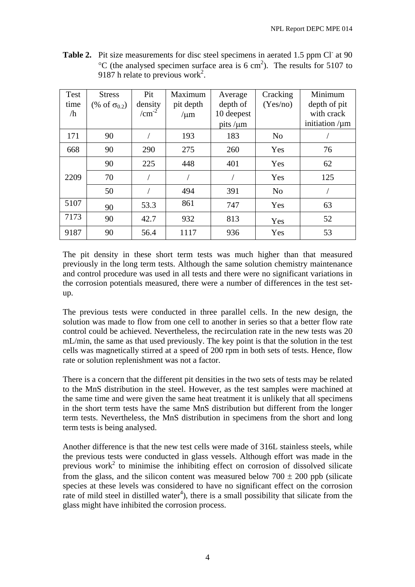| Test<br>time<br>/h | <b>Stress</b><br>$(\% \text{ of } \sigma_{0.2})$ | Pit<br>density<br>$/cm^{-2}$ | Maximum<br>pit depth<br>$/\mu m$ | Average<br>depth of<br>10 deepest<br>pits / $\mu$ m | Cracking<br>(Yes/no) | Minimum<br>depth of pit<br>with crack<br>initiation $/\mu$ m |
|--------------------|--------------------------------------------------|------------------------------|----------------------------------|-----------------------------------------------------|----------------------|--------------------------------------------------------------|
| 171                | 90                                               |                              | 193                              | 183                                                 | N <sub>o</sub>       |                                                              |
| 668                | 90                                               | 290                          | 275                              | 260                                                 | Yes                  | 76                                                           |
|                    | 90                                               | 225                          | 448                              | 401                                                 | Yes                  | 62                                                           |
| 2209               | 70                                               |                              |                                  |                                                     | Yes                  | 125                                                          |
|                    | 50                                               |                              | 494                              | 391                                                 | N <sub>o</sub>       |                                                              |
| 5107               | 90                                               | 53.3                         | 861                              | 747                                                 | Yes                  | 63                                                           |
| 7173               | 90                                               | 42.7                         | 932                              | 813                                                 | Yes                  | 52                                                           |
| 9187               | 90                                               | 56.4                         | 1117                             | 936                                                 | Yes                  | 53                                                           |

Table 2. Pit size measurements for disc steel specimens in aerated 1.5 ppm Cl<sup>-</sup> at 90  $^{\circ}$ C (the analysed specimen surface area is 6 cm<sup>2</sup>). The results for 5107 to 9187 h relate to previous work<sup>2</sup>.

The pit density in these short term tests was much higher than that measured previously in the long term tests. Although the same solution chemistry maintenance and control procedure was used in all tests and there were no significant variations in the corrosion potentials measured, there were a number of differences in the test setup.

The previous tests were conducted in three parallel cells. In the new design, the solution was made to flow from one cell to another in series so that a better flow rate control could be achieved. Nevertheless, the recirculation rate in the new tests was 20 mL/min, the same as that used previously. The key point is that the solution in the test cells was magnetically stirred at a speed of 200 rpm in both sets of tests. Hence, flow rate or solution replenishment was not a factor.

There is a concern that the different pit densities in the two sets of tests may be related to the MnS distribution in the steel. However, as the test samples were machined at the same time and were given the same heat treatment it is unlikely that all specimens in the short term tests have the same MnS distribution but different from the longer term tests. Nevertheless, the MnS distribution in specimens from the short and long term tests is being analysed.

Another difference is that the new test cells were made of 316L stainless steels, while the previous tests were conducted in glass vessels. Although effort was made in the previous work<sup>2</sup> to minimise the inhibiting effect on corrosion of dissolved silicate from the glass, and the silicon content was measured below  $700 \pm 200$  ppb (silicate species at these levels was considered to have no significant effect on the corrosion rate of mild steel in distilled water<sup>4</sup>), there is a small possibility that silicate from the glass might have inhibited the corrosion process.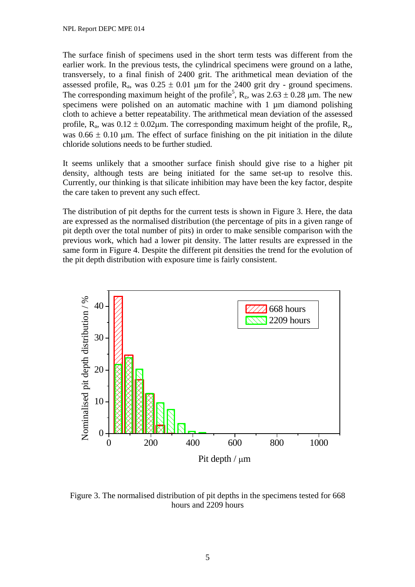The surface finish of specimens used in the short term tests was different from the earlier work. In the previous tests, the cylindrical specimens were ground on a lathe, transversely, to a final finish of 2400 grit. The arithmetical mean deviation of the assessed profile,  $R_a$ , was  $0.25 \pm 0.01$  µm for the 2400 grit dry - ground specimens. The corresponding maximum height of the profile<sup>5</sup>,  $R_z$ , was  $2.63 \pm 0.28$  µm. The new specimens were polished on an automatic machine with 1 um diamond polishing cloth to achieve a better repeatability. The arithmetical mean deviation of the assessed profile,  $R_a$ , was  $0.12 \pm 0.02 \mu$ m. The corresponding maximum height of the profile,  $R_z$ , was  $0.66 \pm 0.10$  um. The effect of surface finishing on the pit initiation in the dilute chloride solutions needs to be further studied.

It seems unlikely that a smoother surface finish should give rise to a higher pit density, although tests are being initiated for the same set-up to resolve this. Currently, our thinking is that silicate inhibition may have been the key factor, despite the care taken to prevent any such effect.

The distribution of pit depths for the current tests is shown in Figure 3. Here, the data are expressed as the normalised distribution (the percentage of pits in a given range of pit depth over the total number of pits) in order to make sensible comparison with the previous work, which had a lower pit density. The latter results are expressed in the same form in Figure 4. Despite the different pit densities the trend for the evolution of the pit depth distribution with exposure time is fairly consistent.



Figure 3. The normalised distribution of pit depths in the specimens tested for 668 hours and 2209 hours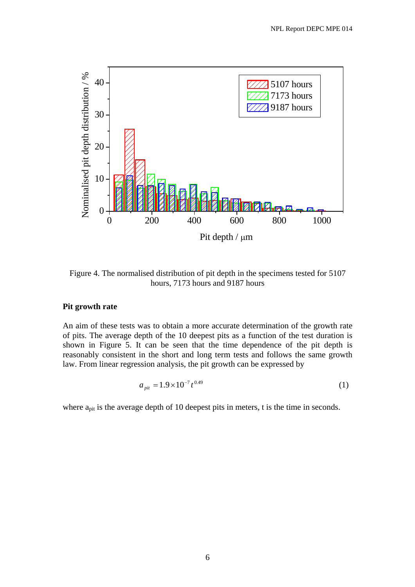

Figure 4. The normalised distribution of pit depth in the specimens tested for 5107 hours, 7173 hours and 9187 hours

#### **Pit growth rate**

An aim of these tests was to obtain a more accurate determination of the growth rate of pits. The average depth of the 10 deepest pits as a function of the test duration is shown in Figure 5. It can be seen that the time dependence of the pit depth is reasonably consistent in the short and long term tests and follows the same growth law. From linear regression analysis, the pit growth can be expressed by

$$
a_{\text{pit}} = 1.9 \times 10^{-7} t^{0.49} \tag{1}
$$

where  $a_{\text{pit}}$  is the average depth of 10 deepest pits in meters, t is the time in seconds.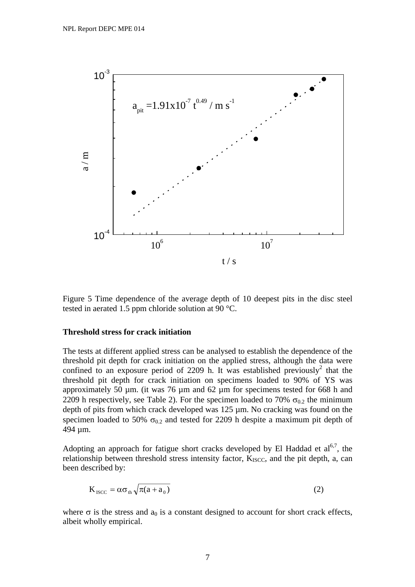

Figure 5 Time dependence of the average depth of 10 deepest pits in the disc steel tested in aerated 1.5 ppm chloride solution at 90 °C.

### **Threshold stress for crack initiation**

The tests at different applied stress can be analysed to establish the dependence of the threshold pit depth for crack initiation on the applied stress, although the data were confined to an exposure period of 2209 h. It was established previously<sup>2</sup> that the threshold pit depth for crack initiation on specimens loaded to 90% of YS was approximately 50 µm. (it was 76 µm and 62 µm for specimens tested for 668 h and 2209 h respectively, see Table 2). For the specimen loaded to 70%  $\sigma_{0.2}$  the minimum depth of pits from which crack developed was 125 µm. No cracking was found on the specimen loaded to 50%  $\sigma_{0.2}$  and tested for 2209 h despite a maximum pit depth of 494 µm.

Adopting an approach for fatigue short cracks developed by El Haddad et  $a_0^{6,7}$ , the relationship between threshold stress intensity factor,  $K_{ISCC}$ , and the pit depth, a, can been described by:

$$
K_{\text{ISCO}} = \alpha \sigma_{\text{th}} \sqrt{\pi (a + a_0)}\tag{2}
$$

where  $\sigma$  is the stress and  $a_0$  is a constant designed to account for short crack effects, albeit wholly empirical.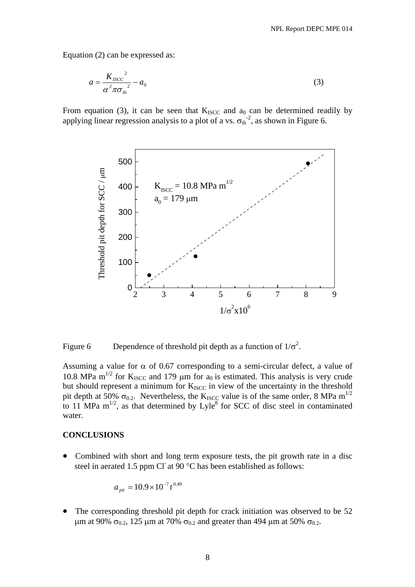Equation (2) can be expressed as:

$$
a = \frac{K_{ISCO}}{\alpha^2 \pi \sigma_{th}^2} - a_0 \tag{3}
$$

From equation (3), it can be seen that  $K_{ISCC}$  and  $a_0$  can be determined readily by applying linear regression analysis to a plot of a vs.  $\sigma_{th}^{-2}$ , as shown in Figure 6.



Figure 6 Dependence of threshold pit depth as a function of  $1/\sigma^2$ .

Assuming a value for  $\alpha$  of 0.67 corresponding to a semi-circular defect, a value of 10.8 MPa m<sup>1/2</sup> for K<sub>ISCC</sub> and 179  $\mu$ m for a<sub>0</sub> is estimated. This analysis is very crude but should represent a minimum for  $K_{ISCC}$  in view of the uncertainty in the threshold pit depth at 50%  $\sigma_{0.2}$ . Nevertheless, the K<sub>ISCC</sub> value is of the same order, 8 MPa m<sup>1/2</sup> to 11 MPa  $m^{1/2}$ , as that determined by Lyle<sup>8</sup> for SCC of disc steel in contaminated water.

#### **CONCLUSIONS**

• Combined with short and long term exposure tests, the pit growth rate in a disc steel in aerated 1.5 ppm Cl $\alpha$  at 90 °C has been established as follows:

$$
a_{\text{pit}} = 10.9 \times 10^{-7} t^{0.49}
$$

The corresponding threshold pit depth for crack initiation was observed to be 52 μm at 90%  $\sigma_{0.2}$ , 125 μm at 70%  $\sigma_{0.2}$  and greater than 494 μm at 50%  $\sigma_{0.2}$ .